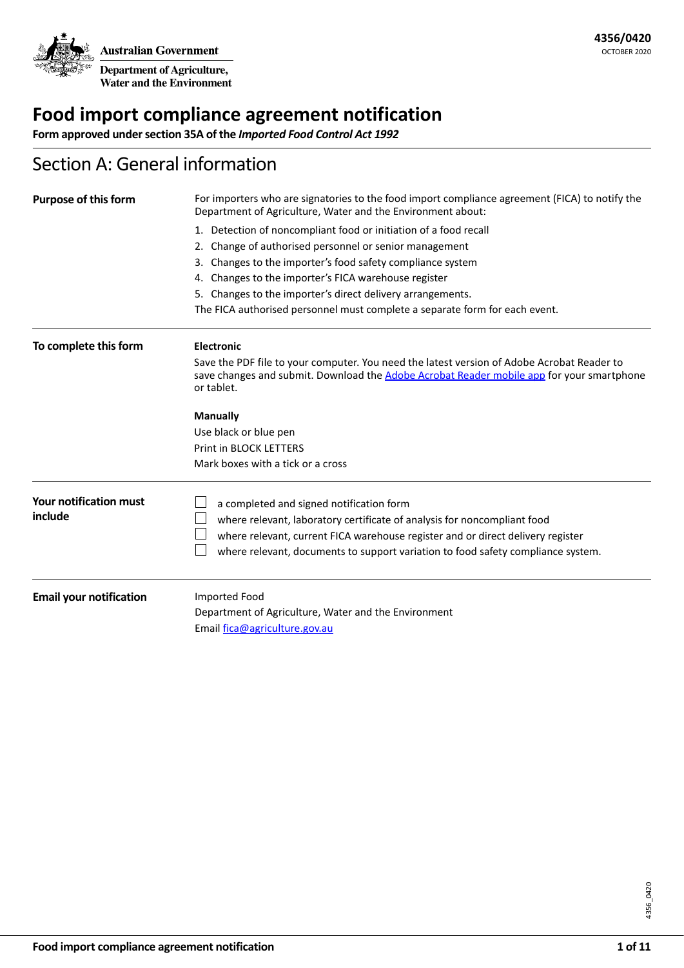## **Food import compliance agreement notification**

**Form approved under section 35A of the** *Imported Food Control Act 1992*

### Section A: General information

| <b>Purpose of this form</b>    | For importers who are signatories to the food import compliance agreement (FICA) to notify the<br>Department of Agriculture, Water and the Environment about:                                         |  |  |
|--------------------------------|-------------------------------------------------------------------------------------------------------------------------------------------------------------------------------------------------------|--|--|
|                                | 1. Detection of noncompliant food or initiation of a food recall                                                                                                                                      |  |  |
|                                | Change of authorised personnel or senior management<br>2.                                                                                                                                             |  |  |
|                                | Changes to the importer's food safety compliance system<br>3.                                                                                                                                         |  |  |
|                                | 4. Changes to the importer's FICA warehouse register                                                                                                                                                  |  |  |
|                                | 5. Changes to the importer's direct delivery arrangements.                                                                                                                                            |  |  |
|                                | The FICA authorised personnel must complete a separate form for each event.                                                                                                                           |  |  |
| To complete this form          | <b>Electronic</b>                                                                                                                                                                                     |  |  |
|                                | Save the PDF file to your computer. You need the latest version of Adobe Acrobat Reader to<br>save changes and submit. Download the Adobe Acrobat Reader mobile app for your smartphone<br>or tablet. |  |  |
|                                | <b>Manually</b>                                                                                                                                                                                       |  |  |
|                                | Use black or blue pen                                                                                                                                                                                 |  |  |
|                                | Print in BLOCK LETTERS                                                                                                                                                                                |  |  |
|                                | Mark boxes with a tick or a cross                                                                                                                                                                     |  |  |
| <b>Your notification must</b>  | a completed and signed notification form                                                                                                                                                              |  |  |
| include                        | where relevant, laboratory certificate of analysis for noncompliant food                                                                                                                              |  |  |
|                                | where relevant, current FICA warehouse register and or direct delivery register                                                                                                                       |  |  |
|                                | where relevant, documents to support variation to food safety compliance system.                                                                                                                      |  |  |
| <b>Email your notification</b> | Imported Food                                                                                                                                                                                         |  |  |
|                                | Department of Agriculture, Water and the Environment                                                                                                                                                  |  |  |
|                                | Email fica@agriculture.gov.au                                                                                                                                                                         |  |  |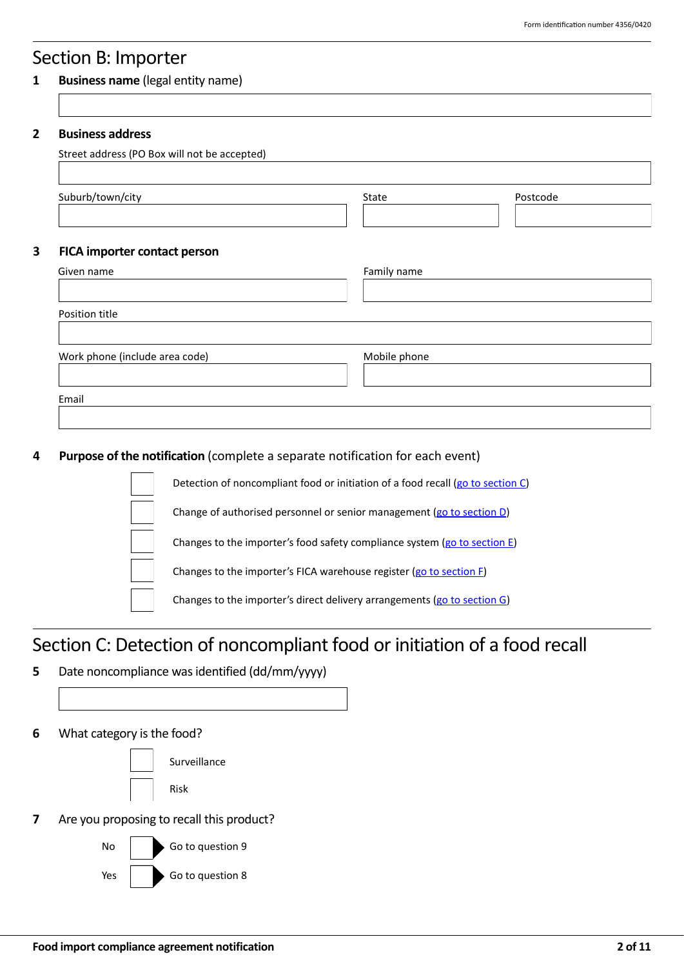### Section B: Importer

#### **1 Business name** (legal entity name)

| State        | Postcode |
|--------------|----------|
|              |          |
| Family name  |          |
|              |          |
| Mobile phone |          |
|              |          |

### **4 Purpose of the notification** (complete a separate notification for each event)



## <span id="page-1-0"></span>Section C: Detection of noncompliant food or initiation of a food recall

- **5** Date noncompliance was identified (dd/mm/yyyy)
- **6** What category is the food?

Surveillance Risk

**7** Are you proposing to recall this product?

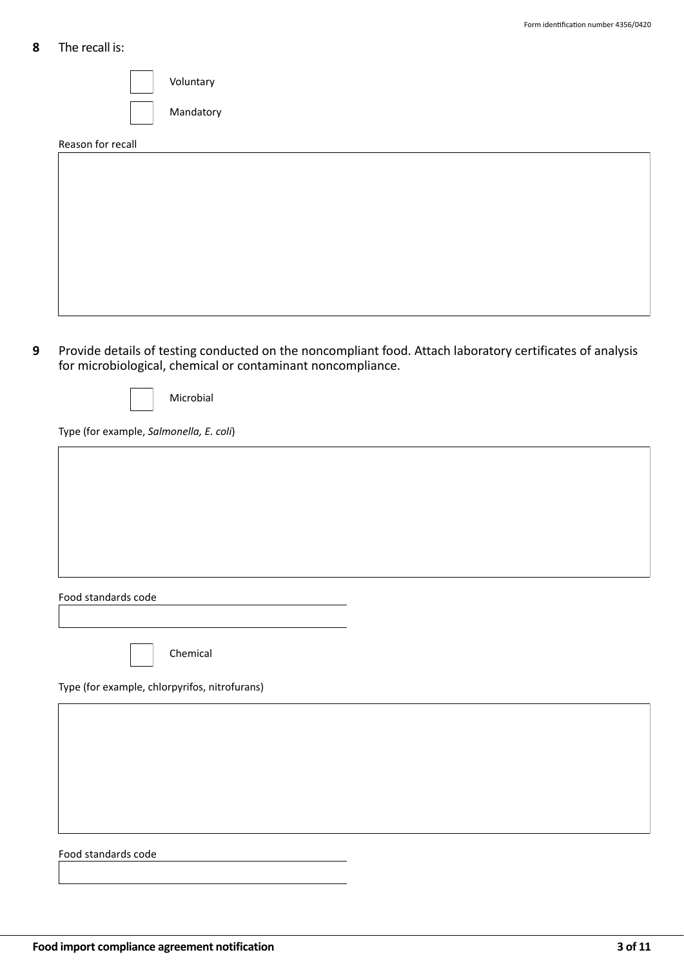### **8** The recall is:

Voluntary Mandatory

Reason for recall

**9** Provide details of testing conducted on the noncompliant food. Attach laboratory certificates of analysis for microbiological, chemical or contaminant noncompliance.

|--|

Type (for example, *Salmonella, E. coli*)

| Food standards code                           |  |
|-----------------------------------------------|--|
|                                               |  |
|                                               |  |
|                                               |  |
| Chemical                                      |  |
| Type (for example, chlorpyrifos, nitrofurans) |  |
|                                               |  |
|                                               |  |
|                                               |  |
|                                               |  |
|                                               |  |
|                                               |  |
|                                               |  |
|                                               |  |
| Food standards code                           |  |
|                                               |  |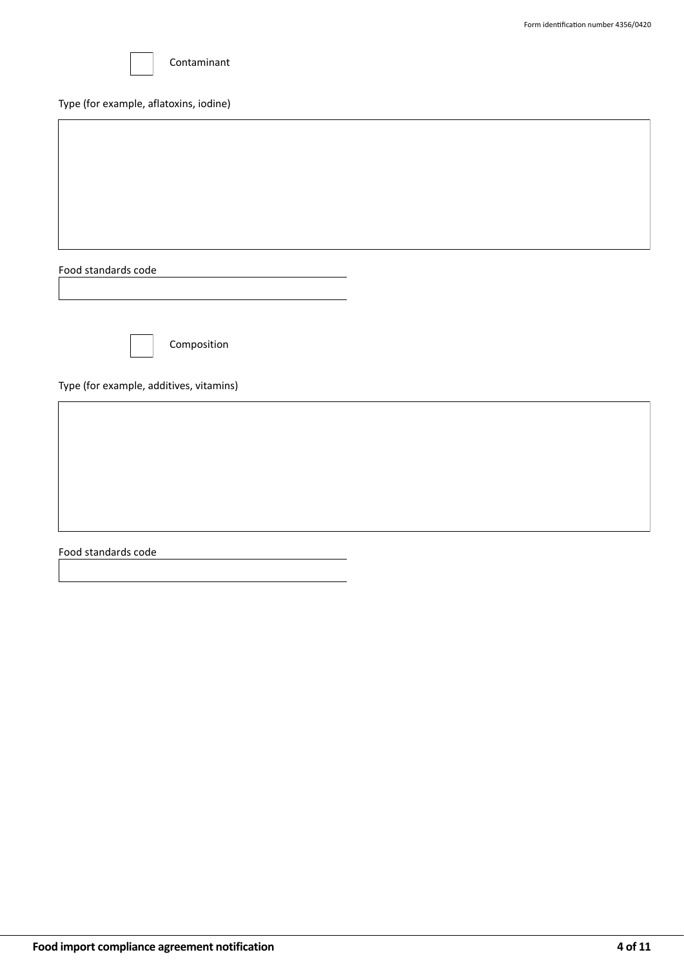

#### Type (for example, aflatoxins, iodine)

Food standards code



Composition

Type (for example, additives, vitamins)

Food standards code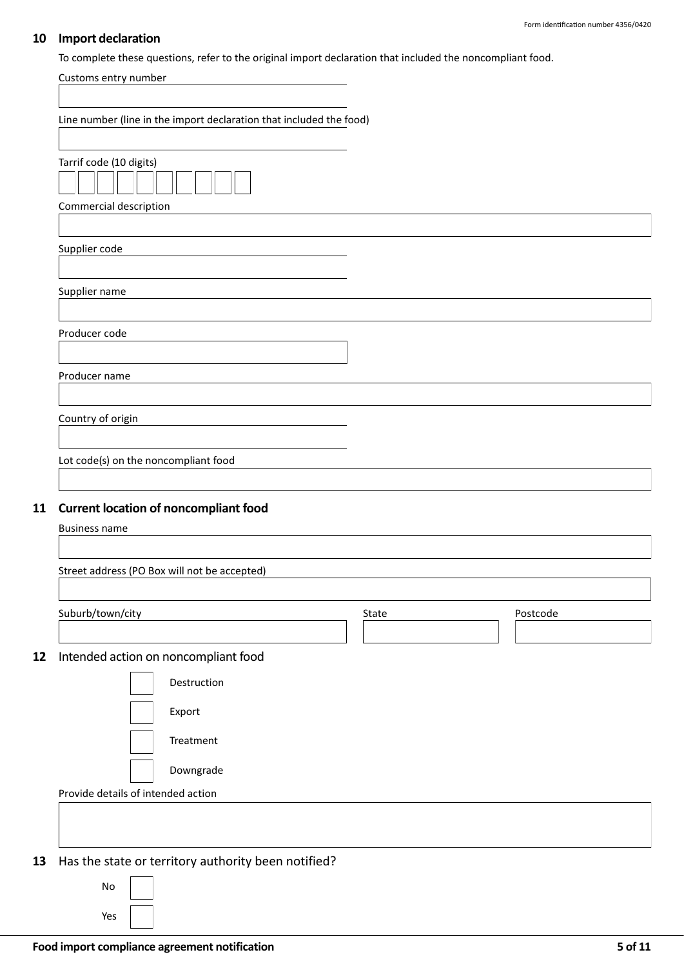### **10 Import declaration**

To complete these questions, refer to the original import declaration that included the noncompliant food.

| Customs entry number                                                                                                       |       |          |
|----------------------------------------------------------------------------------------------------------------------------|-------|----------|
| Line number (line in the import declaration that included the food)                                                        |       |          |
| Tarrif code (10 digits)<br>Commercial description                                                                          |       |          |
| Supplier code                                                                                                              |       |          |
| Supplier name                                                                                                              |       |          |
| Producer code                                                                                                              |       |          |
| Producer name                                                                                                              |       |          |
| Country of origin                                                                                                          |       |          |
| Lot code(s) on the noncompliant food                                                                                       |       |          |
| <b>Current location of noncompliant food</b><br>11<br><b>Business name</b><br>Street address (PO Box will not be accepted) |       |          |
|                                                                                                                            |       |          |
| Suburb/town/city                                                                                                           | State | Postcode |
| Intended action on noncompliant food<br>12<br>Destruction<br>Export<br>Treatment<br>Downgrade                              |       |          |
| Provide details of intended action                                                                                         |       |          |
|                                                                                                                            |       |          |
| Has the state or territory authority been notified?<br>13<br>No                                                            |       |          |
| Yes                                                                                                                        |       |          |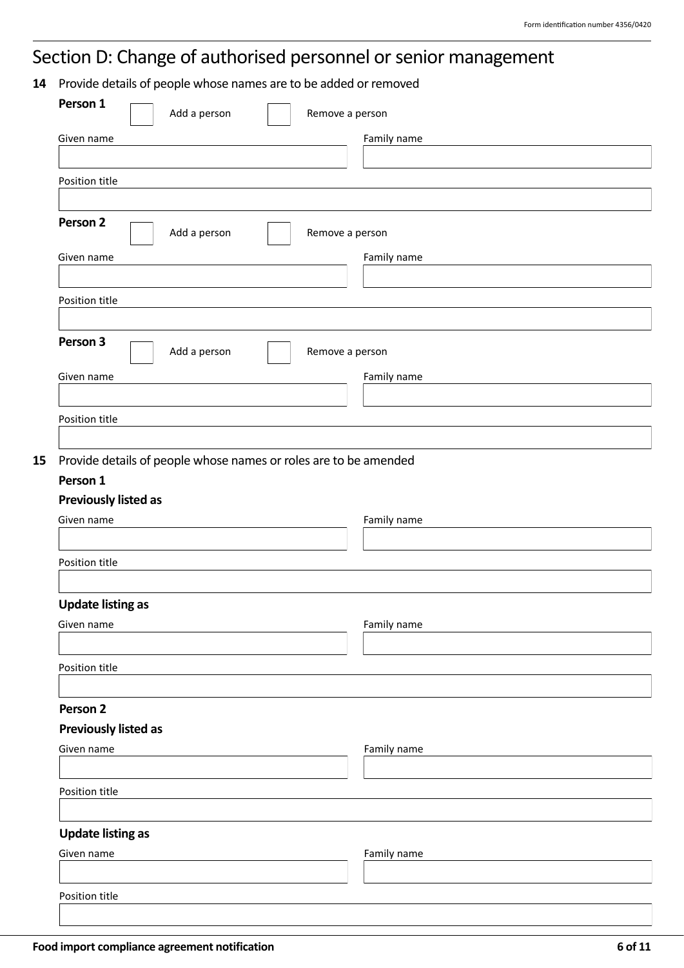# <span id="page-5-0"></span>Section D: Change of authorised personnel or senior management

**14** Provide details of people whose names are to be added or removed

| Family name<br>Add a person<br>Remove a person<br>Family name<br>Given name<br>Position title<br>Person 3<br>Add a person<br>Remove a person<br>Family name<br>Provide details of people whose names or roles are to be amended<br>Previously listed as<br>Family name<br><b>Update listing as</b><br>Family name<br><b>Previously listed as</b><br>Family name<br><b>Update listing as</b><br>Family name<br>Position title | Person 1               | Add a person | Remove a person |  |
|------------------------------------------------------------------------------------------------------------------------------------------------------------------------------------------------------------------------------------------------------------------------------------------------------------------------------------------------------------------------------------------------------------------------------|------------------------|--------------|-----------------|--|
|                                                                                                                                                                                                                                                                                                                                                                                                                              | Given name             |              |                 |  |
|                                                                                                                                                                                                                                                                                                                                                                                                                              |                        |              |                 |  |
|                                                                                                                                                                                                                                                                                                                                                                                                                              | Position title         |              |                 |  |
|                                                                                                                                                                                                                                                                                                                                                                                                                              |                        |              |                 |  |
|                                                                                                                                                                                                                                                                                                                                                                                                                              | Person 2               |              |                 |  |
|                                                                                                                                                                                                                                                                                                                                                                                                                              |                        |              |                 |  |
|                                                                                                                                                                                                                                                                                                                                                                                                                              |                        |              |                 |  |
|                                                                                                                                                                                                                                                                                                                                                                                                                              |                        |              |                 |  |
|                                                                                                                                                                                                                                                                                                                                                                                                                              |                        |              |                 |  |
|                                                                                                                                                                                                                                                                                                                                                                                                                              |                        |              |                 |  |
|                                                                                                                                                                                                                                                                                                                                                                                                                              |                        |              |                 |  |
|                                                                                                                                                                                                                                                                                                                                                                                                                              | Given name             |              |                 |  |
|                                                                                                                                                                                                                                                                                                                                                                                                                              |                        |              |                 |  |
|                                                                                                                                                                                                                                                                                                                                                                                                                              | Position title         |              |                 |  |
|                                                                                                                                                                                                                                                                                                                                                                                                                              |                        |              |                 |  |
|                                                                                                                                                                                                                                                                                                                                                                                                                              | Person 1<br>Given name |              |                 |  |
|                                                                                                                                                                                                                                                                                                                                                                                                                              |                        |              |                 |  |
|                                                                                                                                                                                                                                                                                                                                                                                                                              | Position title         |              |                 |  |
|                                                                                                                                                                                                                                                                                                                                                                                                                              |                        |              |                 |  |
|                                                                                                                                                                                                                                                                                                                                                                                                                              | Given name             |              |                 |  |
|                                                                                                                                                                                                                                                                                                                                                                                                                              |                        |              |                 |  |
|                                                                                                                                                                                                                                                                                                                                                                                                                              | Position title         |              |                 |  |
|                                                                                                                                                                                                                                                                                                                                                                                                                              |                        |              |                 |  |
|                                                                                                                                                                                                                                                                                                                                                                                                                              | Person 2               |              |                 |  |
|                                                                                                                                                                                                                                                                                                                                                                                                                              |                        |              |                 |  |
|                                                                                                                                                                                                                                                                                                                                                                                                                              | Given name             |              |                 |  |
|                                                                                                                                                                                                                                                                                                                                                                                                                              |                        |              |                 |  |
|                                                                                                                                                                                                                                                                                                                                                                                                                              | Position title         |              |                 |  |
|                                                                                                                                                                                                                                                                                                                                                                                                                              |                        |              |                 |  |
|                                                                                                                                                                                                                                                                                                                                                                                                                              |                        |              |                 |  |
|                                                                                                                                                                                                                                                                                                                                                                                                                              | Given name             |              |                 |  |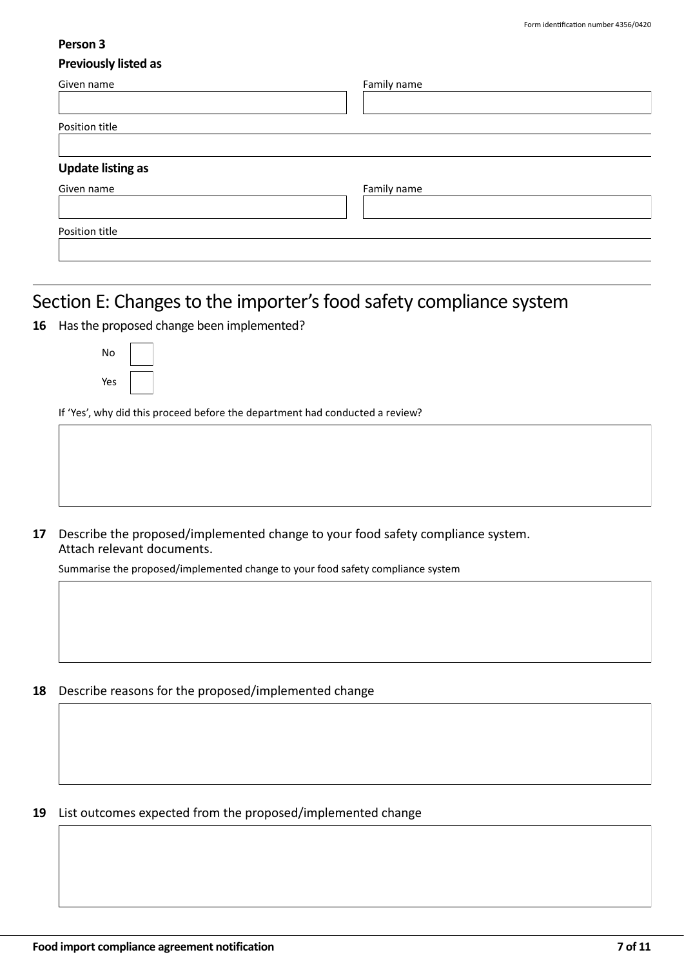### **Person 3**

### **Previously listed as**

| Given name               | Family name |
|--------------------------|-------------|
| Position title           |             |
|                          |             |
| <b>Update listing as</b> |             |
| Given name               | Family name |
| Position title           |             |
|                          |             |

## <span id="page-6-0"></span>Section E: Changes to the importer's food safety compliance system

**16** Has the proposed change been implemented?

| No  |  |
|-----|--|
| Yes |  |

If 'Yes', why did this proceed before the department had conducted a review?

**17** Describe the proposed/implemented change to your food safety compliance system. Attach relevant documents.

Summarise the proposed/implemented change to your food safety compliance system

**18** Describe reasons for the proposed/implemented change

**19** List outcomes expected from the proposed/implemented change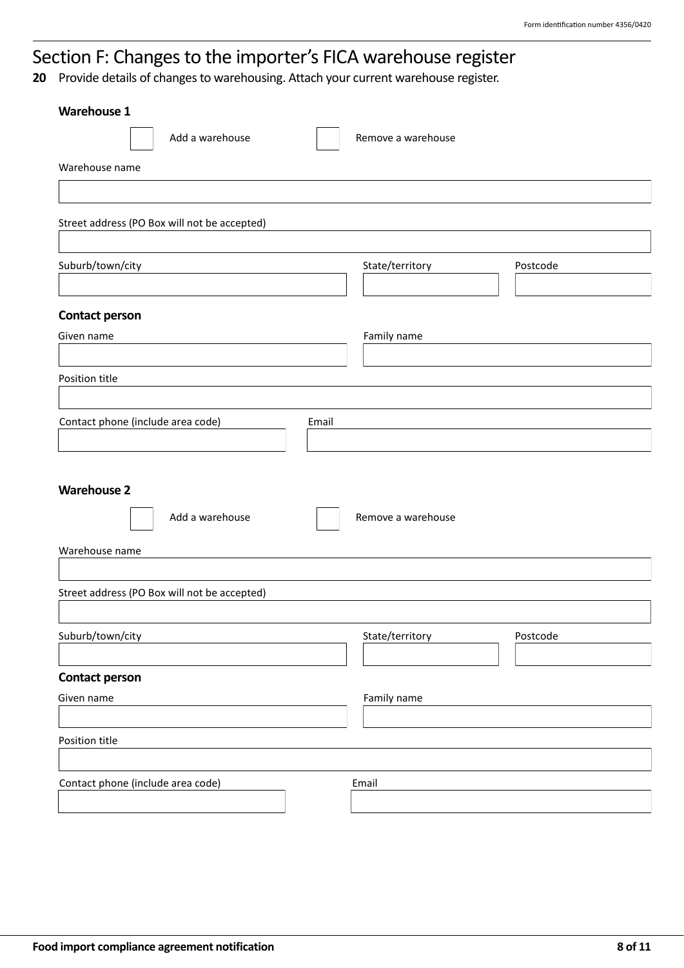## <span id="page-7-0"></span>Section F: Changes to the importer's FICA warehouse register

**20** Provide details of changes to warehousing. Attach your current warehouse register.

| <b>Warehouse 1</b>                           |                             |
|----------------------------------------------|-----------------------------|
| Add a warehouse                              | Remove a warehouse          |
| Warehouse name                               |                             |
|                                              |                             |
| Street address (PO Box will not be accepted) |                             |
|                                              |                             |
| Suburb/town/city                             | State/territory<br>Postcode |
|                                              |                             |
| <b>Contact person</b>                        |                             |
| Given name                                   | Family name                 |
|                                              |                             |
| Position title                               |                             |
| Contact phone (include area code)<br>Email   |                             |
|                                              |                             |
|                                              |                             |
| <b>Warehouse 2</b>                           |                             |
| Add a warehouse                              | Remove a warehouse          |
| Warehouse name                               |                             |
|                                              |                             |
| Street address (PO Box will not be accepted) |                             |
|                                              |                             |
| Suburb/town/city                             | State/territory<br>Postcode |
| <b>Contact person</b>                        |                             |
| Given name                                   | Family name                 |
|                                              |                             |
| Position title                               |                             |
|                                              |                             |
| Contact phone (include area code)            | Email                       |
|                                              |                             |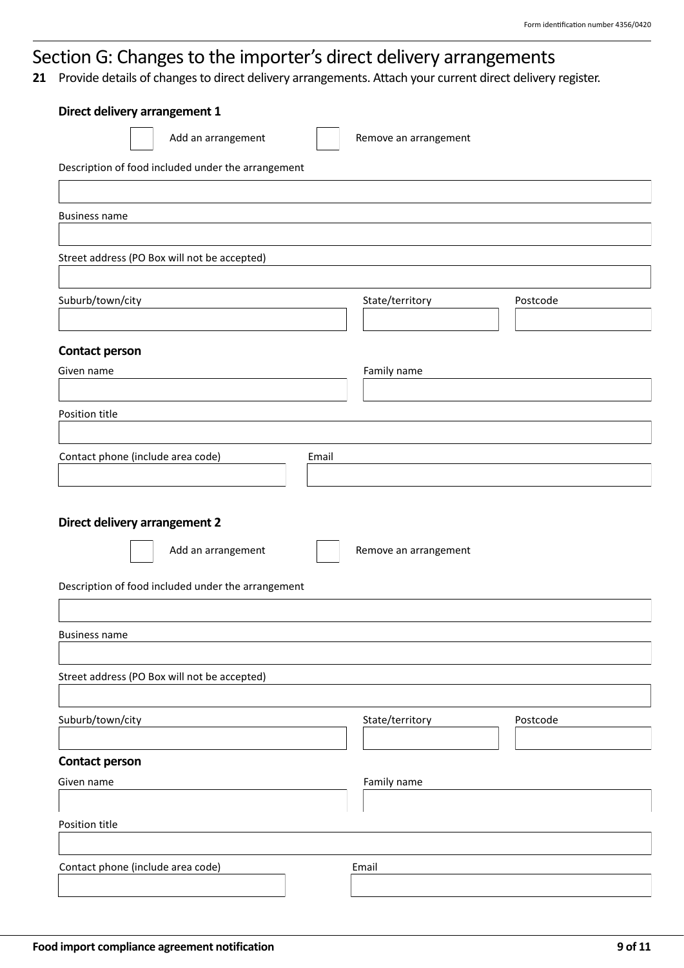## <span id="page-8-0"></span>Section G: Changes to the importer's direct delivery arrangements

**21** Provide details of changes to direct delivery arrangements. Attach your current direct delivery register.

| Direct delivery arrangement 1                      |                             |
|----------------------------------------------------|-----------------------------|
| Add an arrangement                                 | Remove an arrangement       |
| Description of food included under the arrangement |                             |
|                                                    |                             |
| <b>Business name</b>                               |                             |
| Street address (PO Box will not be accepted)       |                             |
| Suburb/town/city                                   | State/territory<br>Postcode |
| <b>Contact person</b>                              |                             |
| Given name                                         | Family name                 |
| Position title                                     |                             |
|                                                    |                             |
| Contact phone (include area code)<br>Email         |                             |
|                                                    |                             |
| Direct delivery arrangement 2                      |                             |
| Add an arrangement                                 | Remove an arrangement       |
| Description of food included under the arrangement |                             |
|                                                    |                             |
| <b>Business name</b>                               |                             |
|                                                    |                             |
| Street address (PO Box will not be accepted)       |                             |
| Suburb/town/city                                   | State/territory<br>Postcode |
| <b>Contact person</b>                              |                             |
| Given name                                         | Family name                 |
|                                                    |                             |
| Position title                                     |                             |
| Contact phone (include area code)                  | Email                       |
|                                                    |                             |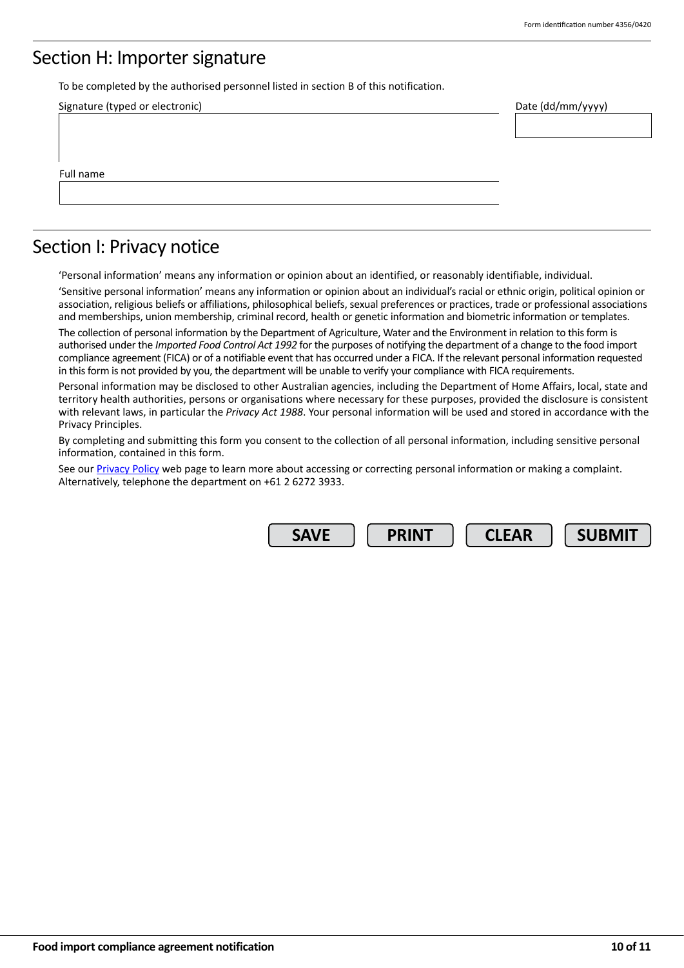### Section H: Importer signature

To be completed by the authorised personnel listed in section B of this notification.

| Signature (typed or electronic) | Date (dd/mm/yyyy) |
|---------------------------------|-------------------|
|                                 |                   |
|                                 |                   |
|                                 |                   |
| Full name                       |                   |
|                                 |                   |
|                                 |                   |

### Section I: Privacy notice

'Personal information' means any information or opinion about an identified, or reasonably identifiable, individual.

'Sensitive personal information' means any information or opinion about an individual's racial or ethnic origin, political opinion or association, religious beliefs or affiliations, philosophical beliefs, sexual preferences or practices, trade or professional associations and memberships, union membership, criminal record, health or genetic information and biometric information or templates.

The collection of personal information by the Department of Agriculture, Water and the Environment in relation to this form is authorised under the *Imported Food Control Act 1992* for the purposes of notifying the department of a change to the food import compliance agreement (FICA) or of a notifiable event that has occurred under a FICA. If the relevant personal information requested in this form is not provided by you, the department will be unable to verify your compliance with FICA requirements.

Personal information may be disclosed to other Australian agencies, including the Department of Home Affairs, local, state and territory health authorities, persons or organisations where necessary for these purposes, provided the disclosure is consistent with relevant laws, in particular the *Privacy Act 1988*. Your personal information will be used and stored in accordance with the Privacy Principles.

By completing and submitting this form you consent to the collection of all personal information, including sensitive personal information, contained in this form.

See our [Privacy Policy](https://www.awe.gov.au/about/commitment/privacy) web page to learn more about accessing or correcting personal information or making a complaint. Alternatively, telephone the department on +61 2 6272 3933.